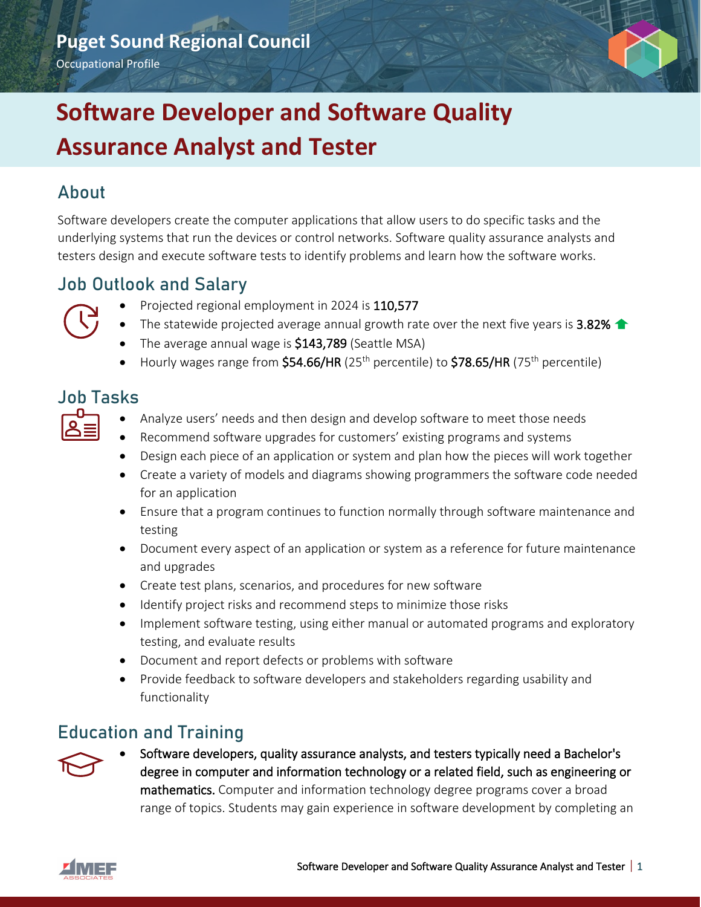

### About

Software developers create the computer applications that allow users to do specific tasks and the underlying systems that run the devices or control networks. Software quality assurance analysts and testers design and execute software tests to identify problems and learn how the software works.

### Job Outlook and Salary



- Projected regional employment in 2024 is 110,577
- The statewide projected average annual growth rate over the next five years is 3.82%  $\triangle$
- The average annual wage is \$143,789 (Seattle MSA)
- Hourly wages range from  $$54.66/HR$  (25<sup>th</sup> percentile) to  $$78.65/HR$  (75<sup>th</sup> percentile)

## Job Tasks

- Analyze users' needs and then design and develop software to meet those needs
- Recommend software upgrades for customers' existing programs and systems
- Design each piece of an application or system and plan how the pieces will work together
- Create a variety of models and diagrams showing programmers the software code needed for an application
- Ensure that a program continues to function normally through software maintenance and testing
- Document every aspect of an application or system as a reference for future maintenance and upgrades
- Create test plans, scenarios, and procedures for new software
- Identify project risks and recommend steps to minimize those risks
- Implement software testing, using either manual or automated programs and exploratory testing, and evaluate results
- Document and report defects or problems with software
- Provide feedback to software developers and stakeholders regarding usability and functionality

### Education and Training



• Software developers, quality assurance analysts, and testers typically need a Bachelor's degree in computer and information technology or a related field, such as engineering or mathematics. Computer and information technology degree programs cover a broad range of topics. Students may gain experience in software development by completing an

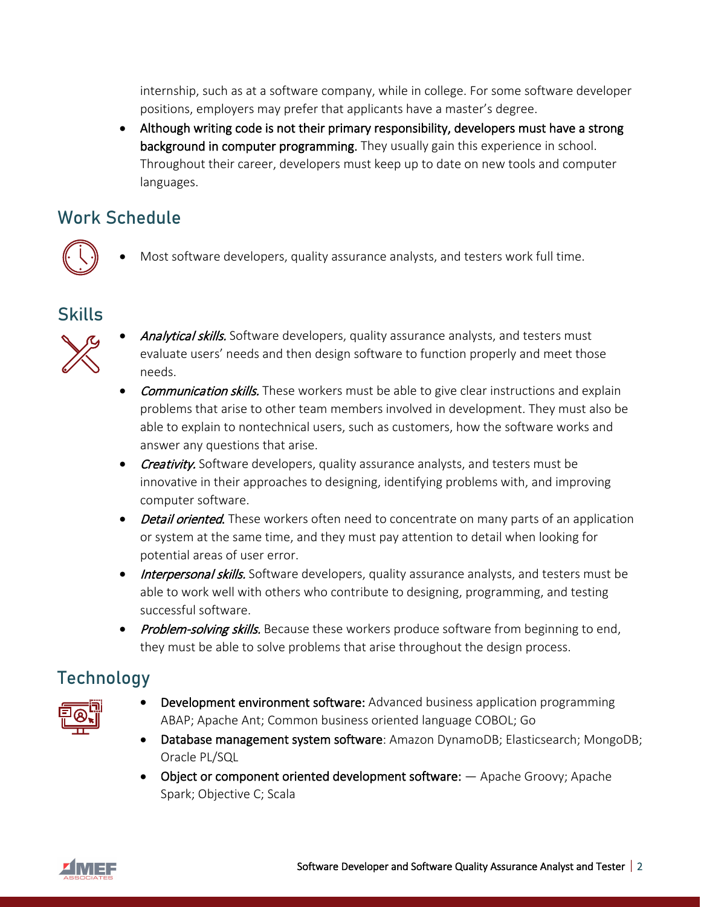internship, such as at a software company, while in college. For some software developer positions, employers may prefer that applicants have a master's degree.

• Although writing code is not their primary responsibility, developers must have a strong background in computer programming. They usually gain this experience in school. Throughout their career, developers must keep up to date on new tools and computer languages.

## Work Schedule



Most software developers, quality assurance analysts, and testers work full time.

#### Skills



- Analytical skills. Software developers, quality assurance analysts, and testers must evaluate users' needs and then design software to function properly and meet those needs.
- **Communication skills.** These workers must be able to give clear instructions and explain problems that arise to other team members involved in development. They must also be able to explain to nontechnical users, such as customers, how the software works and answer any questions that arise.
- Creativity. Software developers, quality assurance analysts, and testers must be innovative in their approaches to designing, identifying problems with, and improving computer software.
- Detail oriented. These workers often need to concentrate on many parts of an application or system at the same time, and they must pay attention to detail when looking for potential areas of user error.
- Interpersonal skills. Software developers, quality assurance analysts, and testers must be able to work well with others who contribute to designing, programming, and testing successful software.
- Problem-solving skills. Because these workers produce software from beginning to end, they must be able to solve problems that arise throughout the design process.

# Technology



- Development environment software: Advanced business application programming ABAP; Apache Ant; Common business oriented language COBOL; Go
- Database management system software: Amazon DynamoDB; Elasticsearch; MongoDB; Oracle PL/SQL
- Object or component oriented development software:  $-$  Apache Groovy; Apache Spark; Objective C; Scala

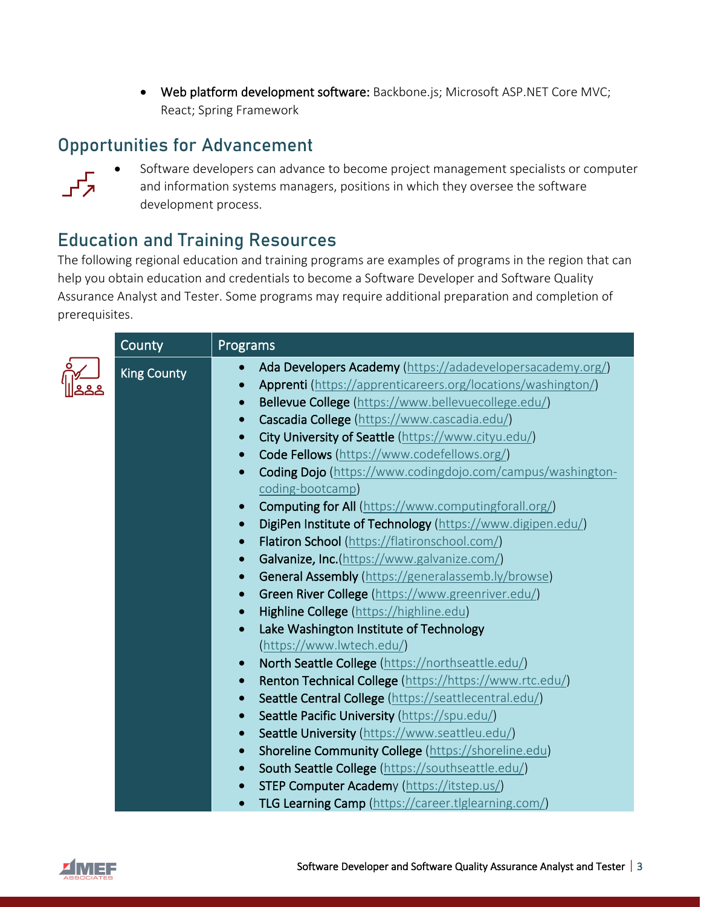• Web platform development software: Backbone.js; Microsoft ASP.NET Core MVC; React; Spring Framework

# Opportunities for Advancement



• Software developers can advance to become project management specialists or computer and information systems managers, positions in which they oversee the software development process.

# Education and Training Resources

The following regional education and training programs are examples of programs in the region that can help you obtain education and credentials to become a Software Developer and Software Quality Assurance Analyst and Tester. Some programs may require additional preparation and completion of prerequisites.

| County             | Programs                                                                  |
|--------------------|---------------------------------------------------------------------------|
| <b>King County</b> | Ada Developers Academy (https://adadevelopersacademy.org/)<br>$\bullet$   |
|                    | Apprenti (https://apprenticareers.org/locations/washington/)<br>$\bullet$ |
|                    | Bellevue College (https://www.bellevuecollege.edu/)<br>$\bullet$          |
|                    | Cascadia College (https://www.cascadia.edu/)<br>$\bullet$                 |
|                    | City University of Seattle (https://www.cityu.edu/)<br>$\bullet$          |
|                    | Code Fellows (https://www.codefellows.org/)<br>$\bullet$                  |
|                    | Coding Dojo (https://www.codingdojo.com/campus/washington-<br>$\bullet$   |
|                    | coding-bootcamp)                                                          |
|                    | Computing for All (https://www.computingforall.org/)<br>$\bullet$         |
|                    | DigiPen Institute of Technology (https://www.digipen.edu/)<br>$\bullet$   |
|                    | Flatiron School (https://flatironschool.com/)<br>$\bullet$                |
|                    | Galvanize, Inc.(https://www.galvanize.com/)<br>$\bullet$                  |
|                    | General Assembly (https://generalassemb.ly/browse)<br>$\bullet$           |
|                    | Green River College (https://www.greenriver.edu/)<br>$\bullet$            |
|                    | Highline College (https://highline.edu)<br>$\bullet$                      |
|                    | Lake Washington Institute of Technology<br>$\bullet$                      |
|                    | (https://www.lwtech.edu/)                                                 |
|                    | North Seattle College (https://northseattle.edu/)<br>$\bullet$            |
|                    | Renton Technical College (https://https://www.rtc.edu/)<br>$\bullet$      |
|                    | Seattle Central College (https://seattlecentral.edu/)<br>$\bullet$        |
|                    | Seattle Pacific University (https://spu.edu/)<br>$\bullet$                |
|                    | Seattle University (https://www.seattleu.edu/)<br>$\bullet$               |
|                    | Shoreline Community College (https://shoreline.edu)<br>$\bullet$          |
|                    | South Seattle College (https://southseattle.edu/)<br>$\bullet$            |
|                    | <b>STEP Computer Academy (https://itstep.us/)</b><br>$\bullet$            |
|                    | TLG Learning Camp (https://career.tlglearning.com/)                       |